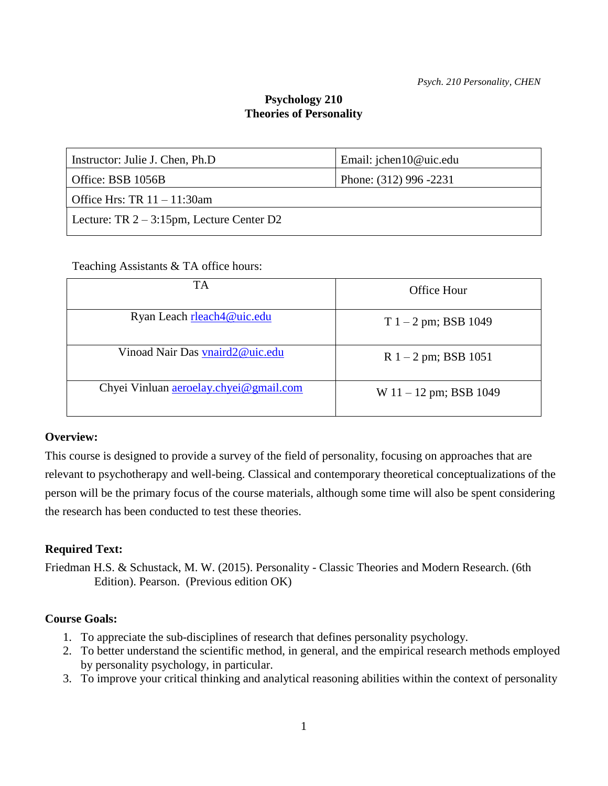# **Psychology 210 Theories of Personality**

| Instructor: Julie J. Chen, Ph.D.             | Email: jchen10@uic.edu |  |
|----------------------------------------------|------------------------|--|
| Office: BSB 1056B                            | Phone: (312) 996 -2231 |  |
| Office Hrs: TR $11 - 11:30$ am               |                        |  |
| Lecture: TR $2 - 3:15$ pm, Lecture Center D2 |                        |  |
|                                              |                        |  |

#### Teaching Assistants & TA office hours:

| <b>TA</b>                              | Office Hour              |
|----------------------------------------|--------------------------|
| Ryan Leach rleach4@uic.edu             | $T 1 - 2$ pm; BSB 1049   |
| Vinoad Nair Das vnaird2@uic.edu        | $R$ 1 – 2 pm; BSB 1051   |
| Chyei Vinluan aeroelay.chyei@gmail.com | W $11 - 12$ pm; BSB 1049 |

#### **Overview:**

This course is designed to provide a survey of the field of personality, focusing on approaches that are relevant to psychotherapy and well-being. Classical and contemporary theoretical conceptualizations of the person will be the primary focus of the course materials, although some time will also be spent considering the research has been conducted to test these theories.

#### **Required Text:**

Friedman H.S. & Schustack, M. W. (2015). Personality - Classic Theories and Modern Research. (6th Edition). Pearson. (Previous edition OK)

#### **Course Goals:**

- 1. To appreciate the sub-disciplines of research that defines personality psychology.
- 2. To better understand the scientific method, in general, and the empirical research methods employed by personality psychology, in particular.
- 3. To improve your critical thinking and analytical reasoning abilities within the context of personality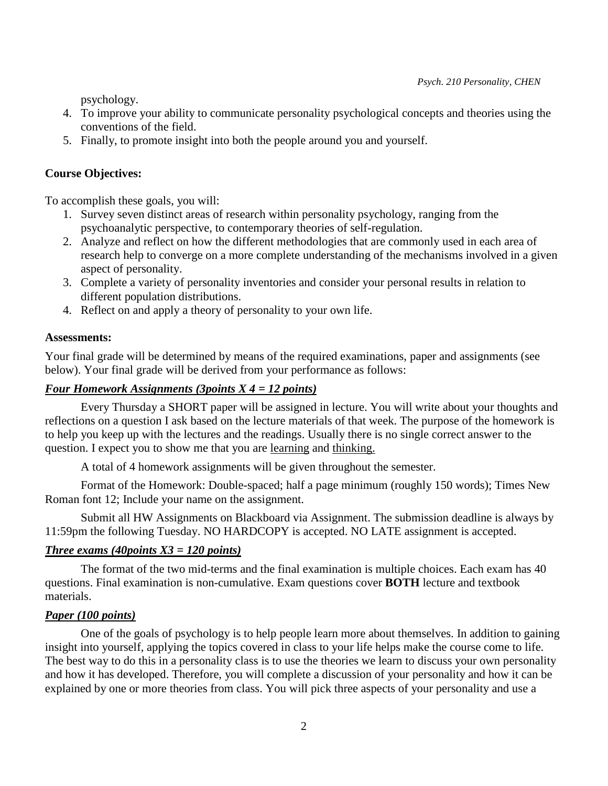psychology.

- 4. To improve your ability to communicate personality psychological concepts and theories using the conventions of the field.
- 5. Finally, to promote insight into both the people around you and yourself.

### **Course Objectives:**

To accomplish these goals, you will:

- 1. Survey seven distinct areas of research within personality psychology, ranging from the psychoanalytic perspective, to contemporary theories of self-regulation.
- 2. Analyze and reflect on how the different methodologies that are commonly used in each area of research help to converge on a more complete understanding of the mechanisms involved in a given aspect of personality.
- 3. Complete a variety of personality inventories and consider your personal results in relation to different population distributions.
- 4. Reflect on and apply a theory of personality to your own life.

#### **Assessments:**

Your final grade will be determined by means of the required examinations, paper and assignments (see below). Your final grade will be derived from your performance as follows:

### *Four Homework Assignments (3points X 4 = 12 points)*

Every Thursday a SHORT paper will be assigned in lecture. You will write about your thoughts and reflections on a question I ask based on the lecture materials of that week. The purpose of the homework is to help you keep up with the lectures and the readings. Usually there is no single correct answer to the question. I expect you to show me that you are learning and thinking.

A total of 4 homework assignments will be given throughout the semester.

 Format of the Homework: Double-spaced; half a page minimum (roughly 150 words); Times New Roman font 12; Include your name on the assignment.

Submit all HW Assignments on Blackboard via Assignment. The submission deadline is always by 11:59pm the following Tuesday. NO HARDCOPY is accepted. NO LATE assignment is accepted.

#### *Three exams (40points X3 = 120 points)*

The format of the two mid-terms and the final examination is multiple choices. Each exam has 40 questions. Final examination is non-cumulative. Exam questions cover **BOTH** lecture and textbook materials.

#### *Paper (100 points)*

One of the goals of psychology is to help people learn more about themselves. In addition to gaining insight into yourself, applying the topics covered in class to your life helps make the course come to life. The best way to do this in a personality class is to use the theories we learn to discuss your own personality and how it has developed. Therefore, you will complete a discussion of your personality and how it can be explained by one or more theories from class. You will pick three aspects of your personality and use a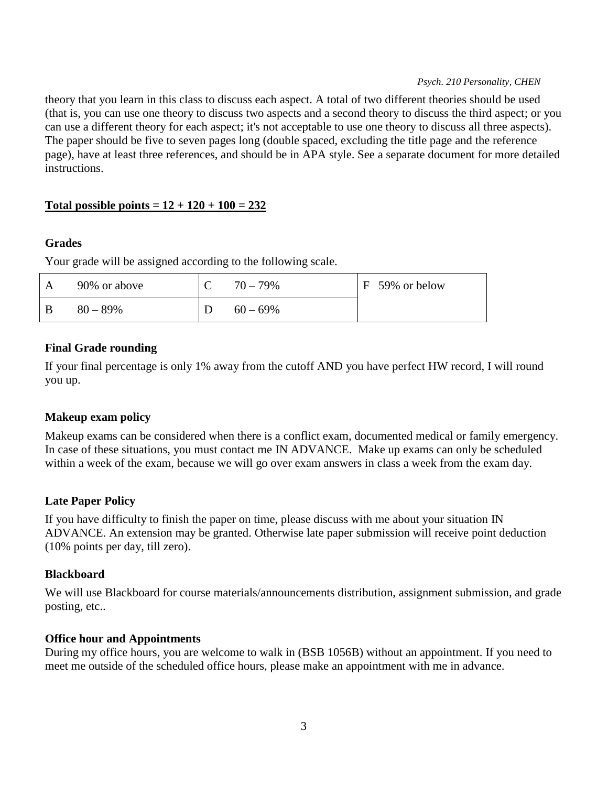#### *Psych. 210 Personality, CHEN*

theory that you learn in this class to discuss each aspect. A total of two different theories should be used (that is, you can use one theory to discuss two aspects and a second theory to discuss the third aspect; or you can use a different theory for each aspect; it's not acceptable to use one theory to discuss all three aspects). The paper should be five to seven pages long (double spaced, excluding the title page and the reference page), have at least three references, and should be in APA style. See a separate document for more detailed instructions.

# Total possible points =  $12 + 120 + 100 = 232$

### **Grades**

Your grade will be assigned according to the following scale.

|     | 90% or above | $70 - 79\%$ | F 59% or below |
|-----|--------------|-------------|----------------|
| - B | $80 - 89\%$  | $60 - 69\%$ |                |

# **Final Grade rounding**

If your final percentage is only 1% away from the cutoff AND you have perfect HW record, I will round you up.

# **Makeup exam policy**

Makeup exams can be considered when there is a conflict exam, documented medical or family emergency. In case of these situations, you must contact me IN ADVANCE. Make up exams can only be scheduled within a week of the exam, because we will go over exam answers in class a week from the exam day.

# **Late Paper Policy**

If you have difficulty to finish the paper on time, please discuss with me about your situation IN ADVANCE. An extension may be granted. Otherwise late paper submission will receive point deduction (10% points per day, till zero).

# **Blackboard**

We will use Blackboard for course materials/announcements distribution, assignment submission, and grade posting, etc..

# **Office hour and Appointments**

During my office hours, you are welcome to walk in (BSB 1056B) without an appointment. If you need to meet me outside of the scheduled office hours, please make an appointment with me in advance.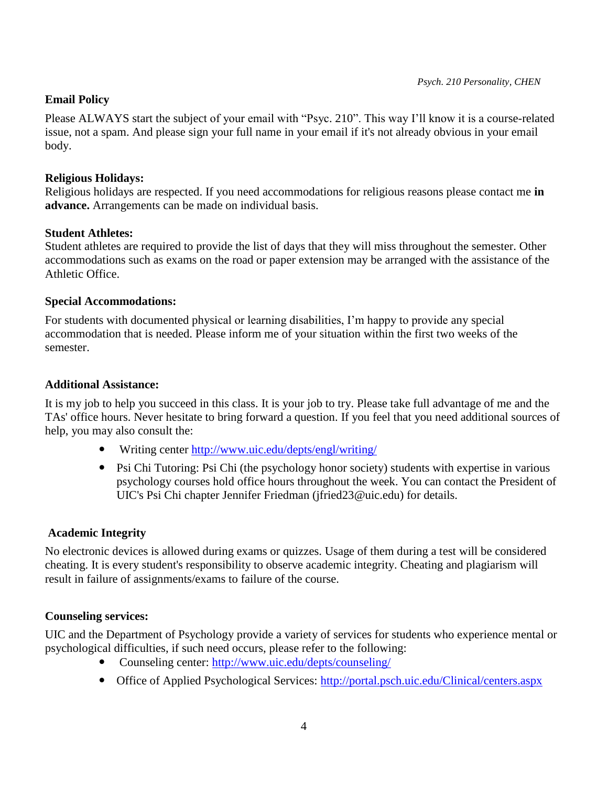### **Email Policy**

Please ALWAYS start the subject of your email with "Psyc. 210". This way I'll know it is a course-related issue, not a spam. And please sign your full name in your email if it's not already obvious in your email body.

#### **Religious Holidays:**

Religious holidays are respected. If you need accommodations for religious reasons please contact me **in advance.** Arrangements can be made on individual basis.

### **Student Athletes:**

Student athletes are required to provide the list of days that they will miss throughout the semester. Other accommodations such as exams on the road or paper extension may be arranged with the assistance of the Athletic Office.

### **Special Accommodations:**

For students with documented physical or learning disabilities, I'm happy to provide any special accommodation that is needed. Please inform me of your situation within the first two weeks of the semester.

### **Additional Assistance:**

It is my job to help you succeed in this class. It is your job to try. Please take full advantage of me and the TAs' office hours. Never hesitate to bring forward a question. If you feel that you need additional sources of help, you may also consult the:

- Writing center<http://www.uic.edu/depts/engl/writing/>
- Psi Chi Tutoring: Psi Chi (the psychology honor society) students with expertise in various psychology courses hold office hours throughout the week. You can contact the President of UIC's Psi Chi chapter Jennifer Friedman (jfried23@uic.edu) for details.

# **Academic Integrity**

No electronic devices is allowed during exams or quizzes. Usage of them during a test will be considered cheating. It is every student's responsibility to observe academic integrity. Cheating and plagiarism will result in failure of assignments/exams to failure of the course.

# **Counseling services:**

UIC and the Department of Psychology provide a variety of services for students who experience mental or psychological difficulties, if such need occurs, please refer to the following:

- Counseling center:<http://www.uic.edu/depts/counseling/>
- Office of Applied Psychological Services:<http://portal.psch.uic.edu/Clinical/centers.aspx>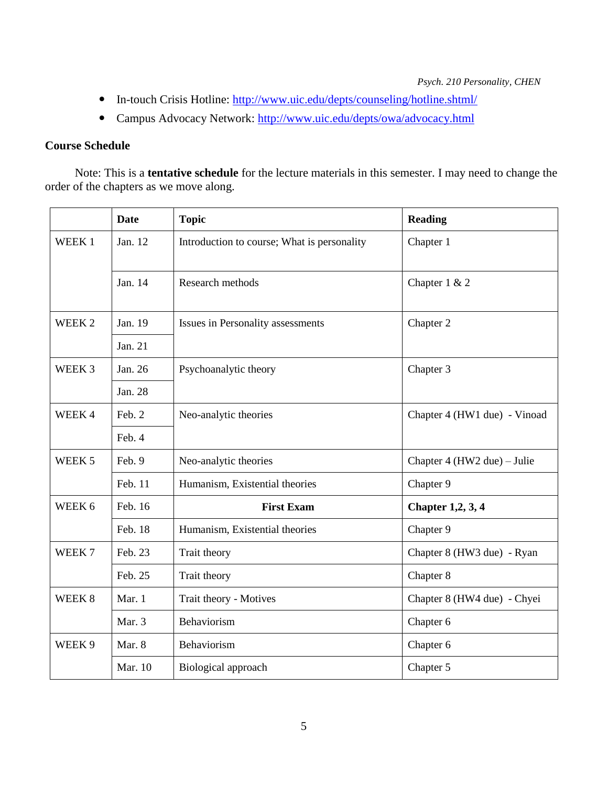*Psych. 210 Personality, CHEN*

- In-touch Crisis Hotline:<http://www.uic.edu/depts/counseling/hotline.shtml/>
- Campus Advocacy Network:<http://www.uic.edu/depts/owa/advocacy.html>

### **Course Schedule**

 Note: This is a **tentative schedule** for the lecture materials in this semester. I may need to change the order of the chapters as we move along.

|                   | <b>Date</b> | <b>Topic</b>                                | <b>Reading</b>               |
|-------------------|-------------|---------------------------------------------|------------------------------|
| WEEK <sub>1</sub> | Jan. 12     | Introduction to course; What is personality | Chapter 1                    |
|                   | Jan. 14     | Research methods                            | Chapter 1 & 2                |
| WEEK <sub>2</sub> | Jan. 19     | Issues in Personality assessments           | Chapter 2                    |
|                   | Jan. 21     |                                             |                              |
| WEEK 3            | Jan. 26     | Psychoanalytic theory                       | Chapter 3                    |
|                   | Jan. 28     |                                             |                              |
| WEEK4             | Feb. 2      | Neo-analytic theories                       | Chapter 4 (HW1 due) - Vinoad |
|                   | Feb. 4      |                                             |                              |
| WEEK <sub>5</sub> | Feb. 9      | Neo-analytic theories                       | Chapter 4 (HW2 due) – Julie  |
|                   | Feb. 11     | Humanism, Existential theories              | Chapter 9                    |
| WEEK 6            | Feb. 16     | <b>First Exam</b>                           | <b>Chapter 1,2, 3, 4</b>     |
|                   | Feb. 18     | Humanism, Existential theories              | Chapter 9                    |
| WEEK <sub>7</sub> | Feb. 23     | Trait theory                                | Chapter 8 (HW3 due) - Ryan   |
|                   | Feb. 25     | Trait theory                                | Chapter 8                    |
| WEEK 8            | Mar. 1      | Trait theory - Motives                      | Chapter 8 (HW4 due) - Chyei  |
|                   | Mar. 3      | Behaviorism                                 | Chapter 6                    |
| WEEK 9            | Mar. 8      | Behaviorism                                 | Chapter 6                    |
|                   | Mar. 10     | Biological approach                         | Chapter 5                    |